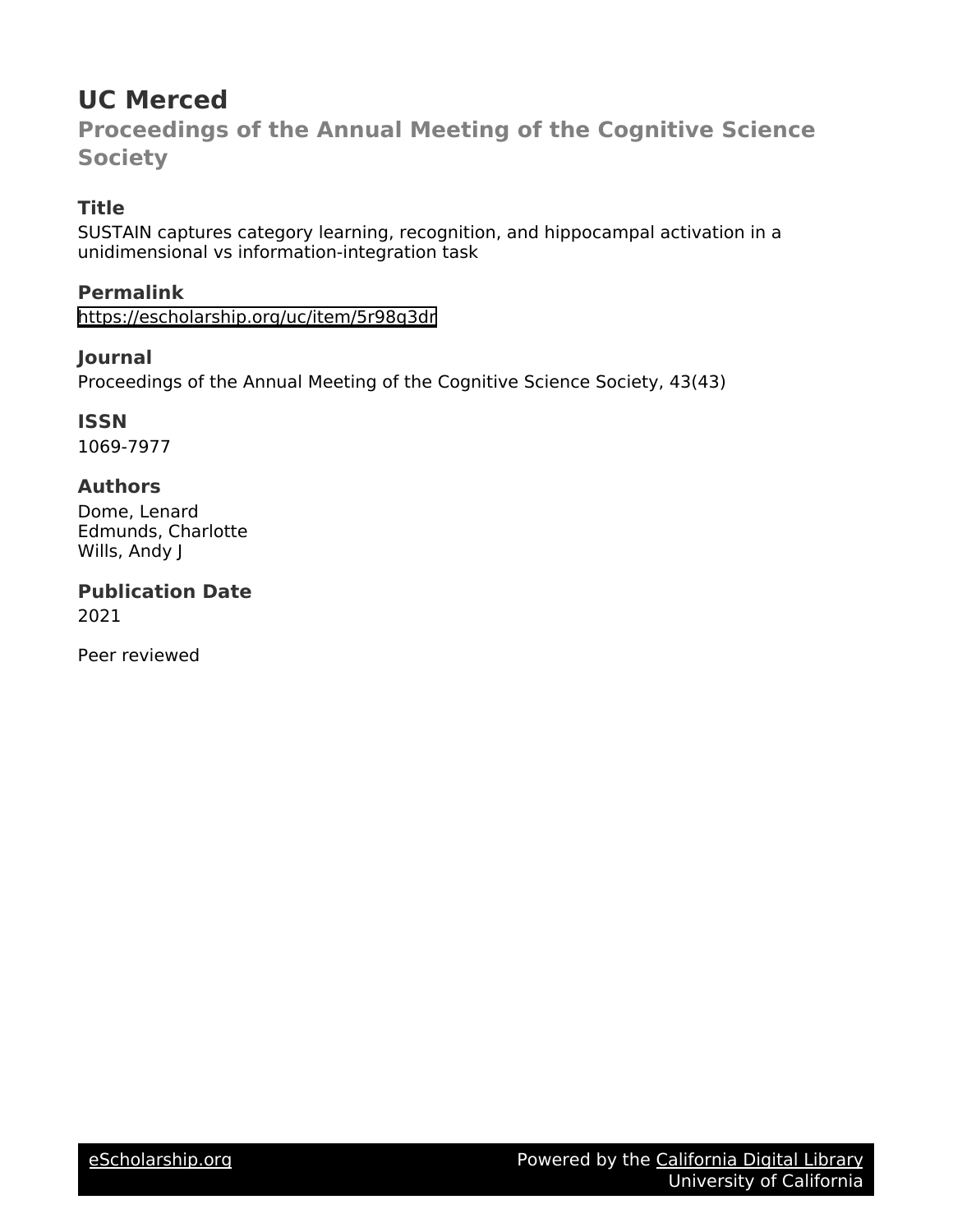# **UC Merced**

**Proceedings of the Annual Meeting of the Cognitive Science Society**

# **Title**

SUSTAIN captures category learning, recognition, and hippocampal activation in a unidimensional vs information-integration task

# **Permalink**

<https://escholarship.org/uc/item/5r98q3dr>

# **Journal**

Proceedings of the Annual Meeting of the Cognitive Science Society, 43(43)

# **ISSN**

1069-7977

# **Authors**

Dome, Lenard Edmunds, Charlotte Wills, Andy J

**Publication Date** 2021

Peer reviewed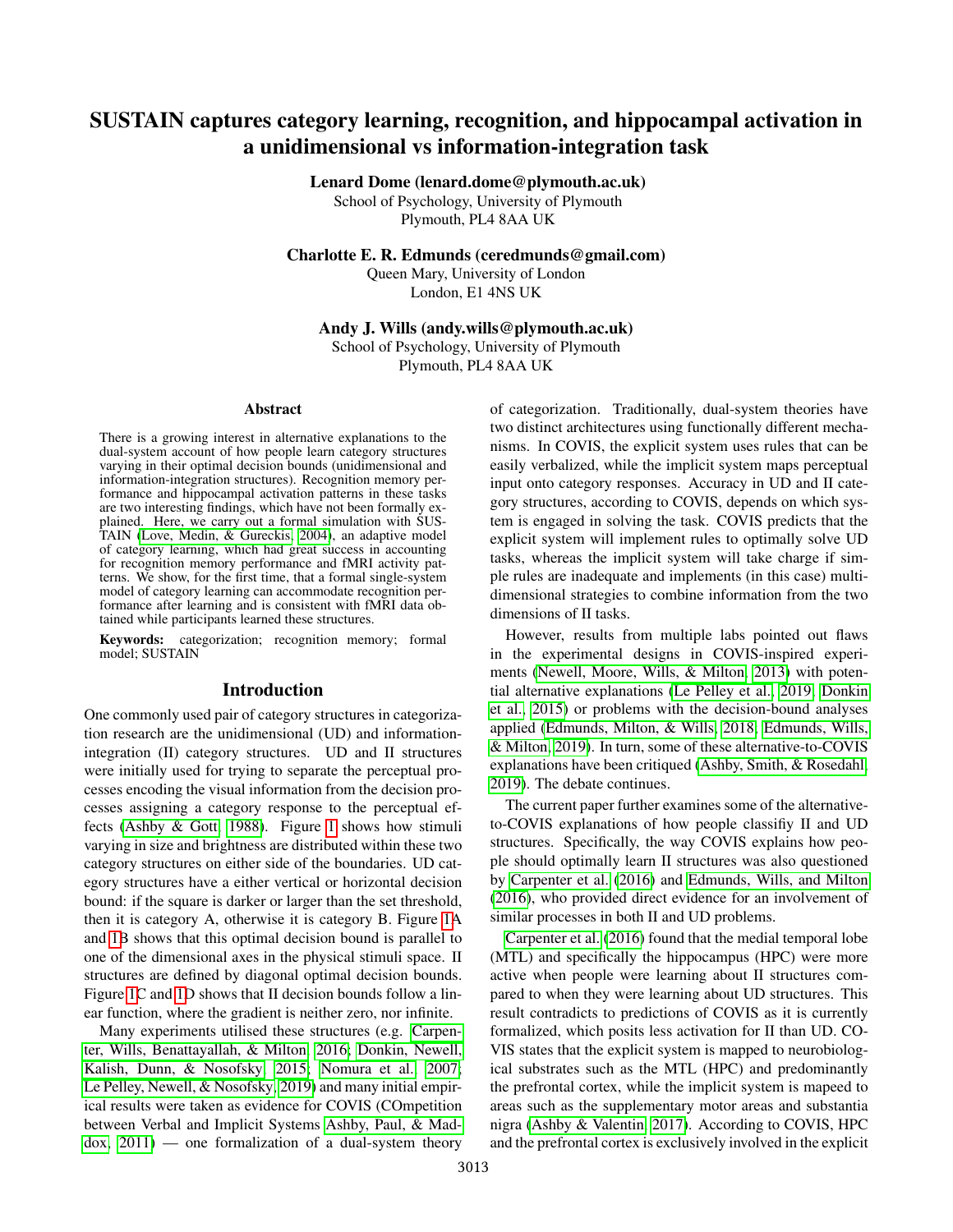# SUSTAIN captures category learning, recognition, and hippocampal activation in a unidimensional vs information-integration task

Lenard Dome (lenard.dome@plymouth.ac.uk)

School of Psychology, University of Plymouth Plymouth, PL4 8AA UK

Charlotte E. R. Edmunds (ceredmunds@gmail.com)

Queen Mary, University of London London, E1 4NS UK

### Andy J. Wills (andy.wills@plymouth.ac.uk)

School of Psychology, University of Plymouth Plymouth, PL4 8AA UK

#### Abstract

There is a growing interest in alternative explanations to the dual-system account of how people learn category structures varying in their optimal decision bounds (unidimensional and information-integration structures). Recognition memory performance and hippocampal activation patterns in these tasks are two interesting findings, which have not been formally explained. Here, we carry out a formal simulation with SUS-TAIN [\(Love, Medin, & Gureckis, 2004\)](#page-7-0), an adaptive model of category learning, which had great success in accounting for recognition memory performance and fMRI activity patterns. We show, for the first time, that a formal single-system model of category learning can accommodate recognition performance after learning and is consistent with fMRI data obtained while participants learned these structures.

Keywords: categorization; recognition memory; formal model; SUSTAIN

## Introduction

One commonly used pair of category structures in categorization research are the unidimensional (UD) and informationintegration (II) category structures. UD and II structures were initially used for trying to separate the perceptual processes encoding the visual information from the decision processes assigning a category response to the perceptual effects [\(Ashby & Gott, 1988\)](#page-6-0). Figure [1](#page-2-0) shows how stimuli varying in size and brightness are distributed within these two category structures on either side of the boundaries. UD category structures have a either vertical or horizontal decision bound: if the square is darker or larger than the set threshold, then it is category A, otherwise it is category B. Figure [1A](#page-2-0) and [1B](#page-2-0) shows that this optimal decision bound is parallel to one of the dimensional axes in the physical stimuli space. II structures are defined by diagonal optimal decision bounds. Figure [1C](#page-2-0) and [1D](#page-2-0) shows that II decision bounds follow a linear function, where the gradient is neither zero, nor infinite.

Many experiments utilised these structures (e.g. [Carpen](#page-6-1)[ter, Wills, Benattayallah, & Milton, 2016;](#page-6-1) [Donkin, Newell,](#page-6-2) [Kalish, Dunn, & Nosofsky, 2015;](#page-6-2) [Nomura et al., 2007;](#page-7-1) [Le Pelley, Newell, & Nosofsky, 2019\)](#page-7-2) and many initial empirical results were taken as evidence for COVIS (COmpetition between Verbal and Implicit Systems [Ashby, Paul, & Mad](#page-6-3)[dox, 2011\)](#page-6-3) — one formalization of a dual-system theory of categorization. Traditionally, dual-system theories have two distinct architectures using functionally different mechanisms. In COVIS, the explicit system uses rules that can be easily verbalized, while the implicit system maps perceptual input onto category responses. Accuracy in UD and II category structures, according to COVIS, depends on which system is engaged in solving the task. COVIS predicts that the explicit system will implement rules to optimally solve UD tasks, whereas the implicit system will take charge if simple rules are inadequate and implements (in this case) multidimensional strategies to combine information from the two dimensions of II tasks.

However, results from multiple labs pointed out flaws in the experimental designs in COVIS-inspired experiments [\(Newell, Moore, Wills, & Milton, 2013\)](#page-7-3) with potential alternative explanations [\(Le Pelley et al., 2019;](#page-7-2) [Donkin](#page-6-2) [et al., 2015\)](#page-6-2) or problems with the decision-bound analyses applied [\(Edmunds, Milton, & Wills, 2018;](#page-6-4) [Edmunds, Wills,](#page-7-4) [& Milton, 2019\)](#page-7-4). In turn, some of these alternative-to-COVIS explanations have been critiqued [\(Ashby, Smith, & Rosedahl,](#page-6-5) [2019\)](#page-6-5). The debate continues.

The current paper further examines some of the alternativeto-COVIS explanations of how people classifiy II and UD structures. Specifically, the way COVIS explains how people should optimally learn II structures was also questioned by [Carpenter et al.](#page-6-1) [\(2016\)](#page-6-1) and [Edmunds, Wills, and Milton](#page-6-6) [\(2016\)](#page-6-6), who provided direct evidence for an involvement of similar processes in both II and UD problems.

[Carpenter et al.](#page-6-1) [\(2016\)](#page-6-1) found that the medial temporal lobe (MTL) and specifically the hippocampus (HPC) were more active when people were learning about II structures compared to when they were learning about UD structures. This result contradicts to predictions of COVIS as it is currently formalized, which posits less activation for II than UD. CO-VIS states that the explicit system is mapped to neurobiological substrates such as the MTL (HPC) and predominantly the prefrontal cortex, while the implicit system is mapeed to areas such as the supplementary motor areas and substantia nigra [\(Ashby & Valentin, 2017\)](#page-6-7). According to COVIS, HPC and the prefrontal cortex is exclusively involved in the explicit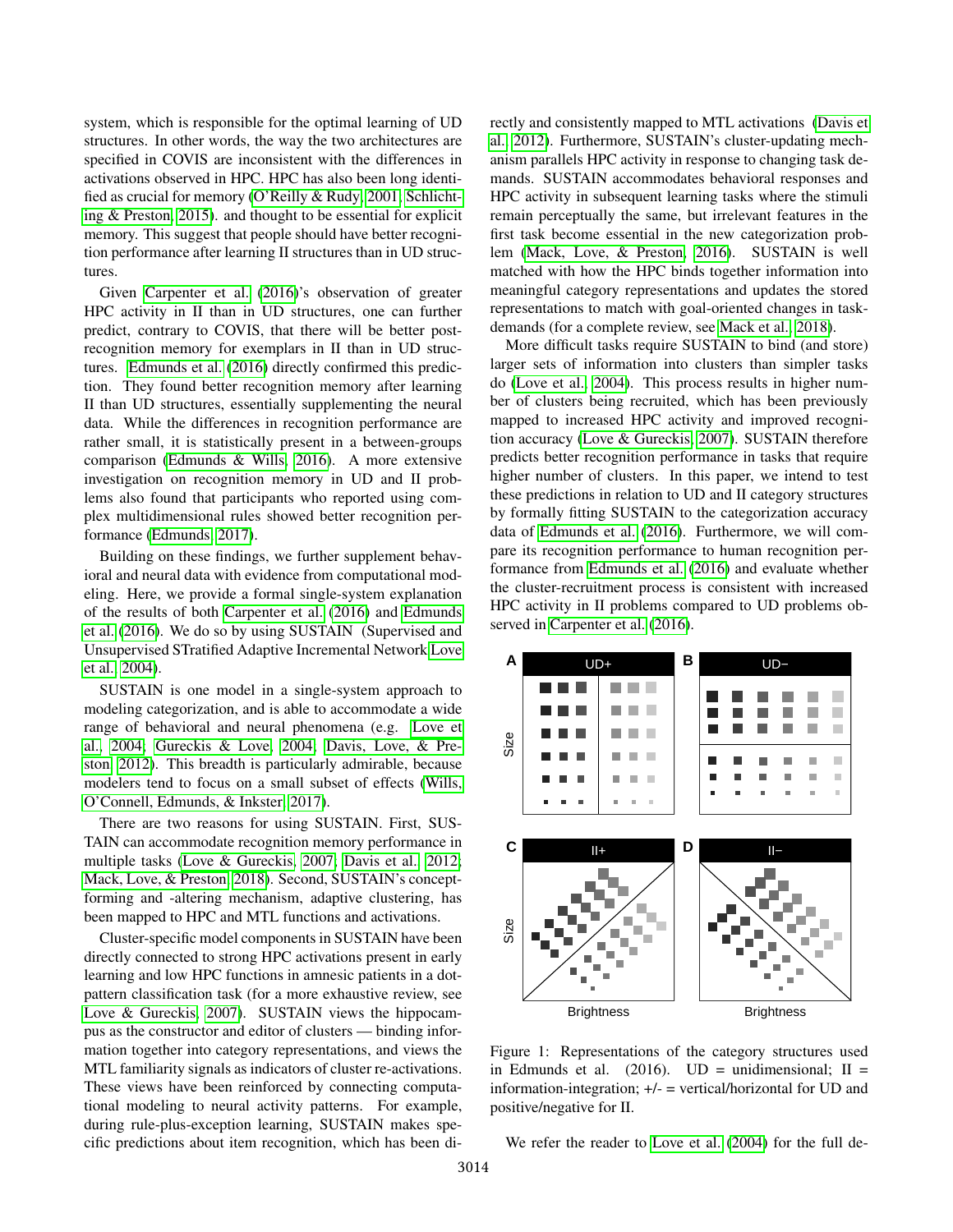system, which is responsible for the optimal learning of UD structures. In other words, the way the two architectures are specified in COVIS are inconsistent with the differences in activations observed in HPC. HPC has also been long identified as crucial for memory [\(O'Reilly & Rudy, 2001;](#page-7-5) [Schlicht](#page-7-6)[ing & Preston, 2015\)](#page-7-6). and thought to be essential for explicit memory. This suggest that people should have better recognition performance after learning II structures than in UD structures.

Given [Carpenter et al.](#page-6-1) [\(2016\)](#page-6-1)'s observation of greater HPC activity in II than in UD structures, one can further predict, contrary to COVIS, that there will be better postrecognition memory for exemplars in II than in UD structures. [Edmunds et al.](#page-6-6) [\(2016\)](#page-6-6) directly confirmed this prediction. They found better recognition memory after learning II than UD structures, essentially supplementing the neural data. While the differences in recognition performance are rather small, it is statistically present in a between-groups comparison [\(Edmunds & Wills, 2016\)](#page-6-8). A more extensive investigation on recognition memory in UD and II problems also found that participants who reported using complex multidimensional rules showed better recognition performance [\(Edmunds, 2017\)](#page-6-9).

Building on these findings, we further supplement behavioral and neural data with evidence from computational modeling. Here, we provide a formal single-system explanation of the results of both [Carpenter et al.](#page-6-1) [\(2016\)](#page-6-1) and [Edmunds](#page-6-6) [et al.](#page-6-6) [\(2016\)](#page-6-6). We do so by using SUSTAIN (Supervised and Unsupervised STratified Adaptive Incremental Network [Love](#page-7-0) [et al., 2004\)](#page-7-0).

SUSTAIN is one model in a single-system approach to modeling categorization, and is able to accommodate a wide range of behavioral and neural phenomena (e.g. [Love et](#page-7-0) [al., 2004;](#page-7-0) [Gureckis & Love, 2004;](#page-7-7) [Davis, Love, & Pre](#page-6-10)[ston, 2012\)](#page-6-10). This breadth is particularly admirable, because modelers tend to focus on a small subset of effects [\(Wills,](#page-7-8) [O'Connell, Edmunds, & Inkster, 2017\)](#page-7-8).

There are two reasons for using SUSTAIN. First, SUS-TAIN can accommodate recognition memory performance in multiple tasks [\(Love & Gureckis, 2007;](#page-7-9) [Davis et al., 2012;](#page-6-10) [Mack, Love, & Preston, 2018\)](#page-7-10). Second, SUSTAIN's conceptforming and -altering mechanism, adaptive clustering, has been mapped to HPC and MTL functions and activations.

Cluster-specific model components in SUSTAIN have been directly connected to strong HPC activations present in early learning and low HPC functions in amnesic patients in a dotpattern classification task (for a more exhaustive review, see [Love & Gureckis, 2007\)](#page-7-9). SUSTAIN views the hippocampus as the constructor and editor of clusters — binding information together into category representations, and views the MTL familiarity signals as indicators of cluster re-activations. These views have been reinforced by connecting computational modeling to neural activity patterns. For example, during rule-plus-exception learning, SUSTAIN makes specific predictions about item recognition, which has been directly and consistently mapped to MTL activations [\(Davis et](#page-6-10) [al., 2012\)](#page-6-10). Furthermore, SUSTAIN's cluster-updating mechanism parallels HPC activity in response to changing task demands. SUSTAIN accommodates behavioral responses and HPC activity in subsequent learning tasks where the stimuli remain perceptually the same, but irrelevant features in the first task become essential in the new categorization problem [\(Mack, Love, & Preston, 2016\)](#page-7-11). SUSTAIN is well matched with how the HPC binds together information into meaningful category representations and updates the stored representations to match with goal-oriented changes in taskdemands (for a complete review, see [Mack et al., 2018\)](#page-7-10).

More difficult tasks require SUSTAIN to bind (and store) larger sets of information into clusters than simpler tasks do [\(Love et al., 2004\)](#page-7-0). This process results in higher number of clusters being recruited, which has been previously mapped to increased HPC activity and improved recognition accuracy [\(Love & Gureckis, 2007\)](#page-7-9). SUSTAIN therefore predicts better recognition performance in tasks that require higher number of clusters. In this paper, we intend to test these predictions in relation to UD and II category structures by formally fitting SUSTAIN to the categorization accuracy data of [Edmunds et al.](#page-6-6) [\(2016\)](#page-6-6). Furthermore, we will compare its recognition performance to human recognition performance from [Edmunds et al.](#page-6-6) [\(2016\)](#page-6-6) and evaluate whether the cluster-recruitment process is consistent with increased HPC activity in II problems compared to UD problems observed in [Carpenter et al.](#page-6-1) [\(2016\)](#page-6-1).



<span id="page-2-0"></span>Figure 1: Representations of the category structures used in Edmunds et al. (2016).  $UD =$  unidimensional;  $II =$ information-integration;  $+/-$  = vertical/horizontal for UD and positive/negative for II.

We refer the reader to [Love et al.](#page-7-0) [\(2004\)](#page-7-0) for the full de-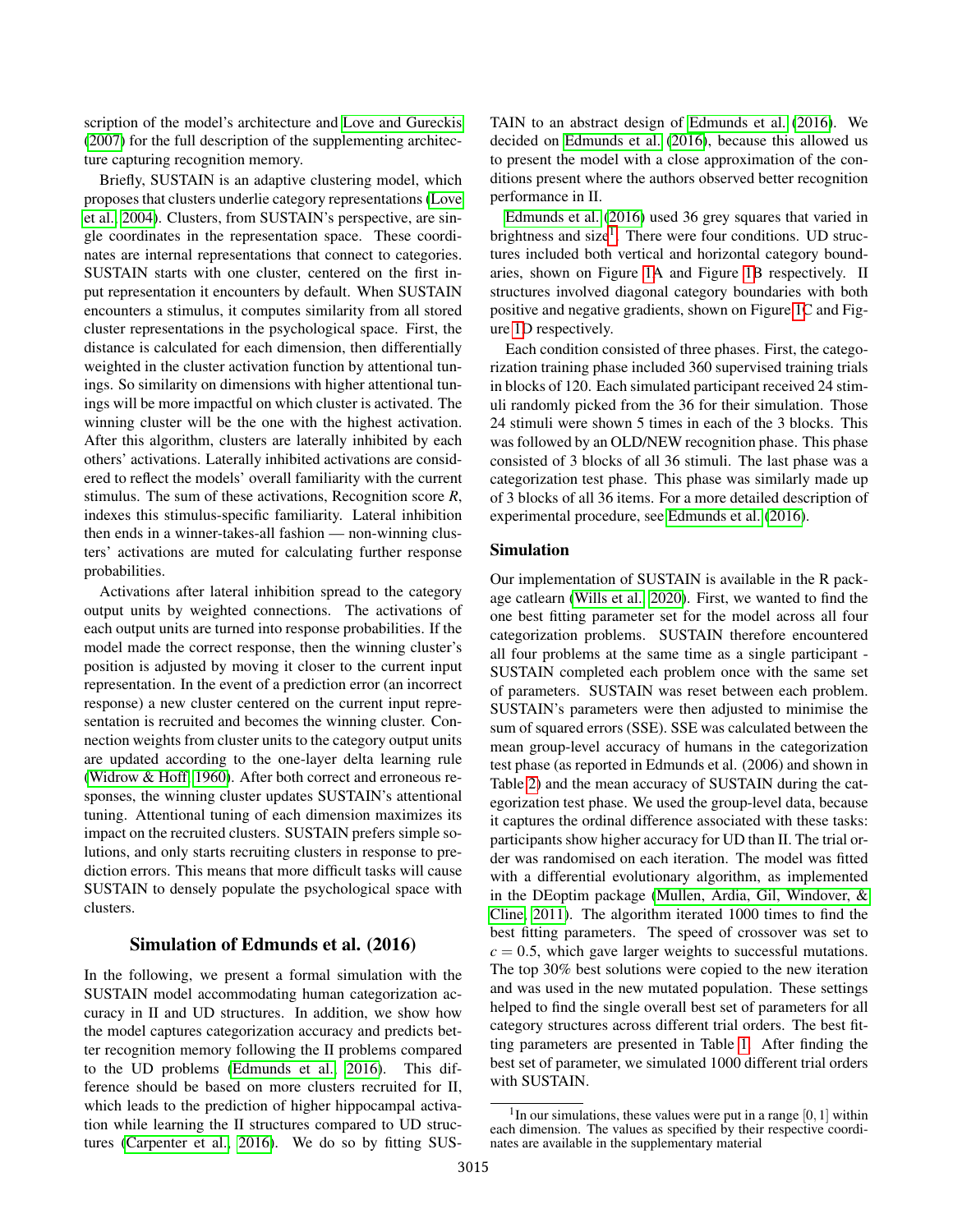scription of the model's architecture and [Love and Gureckis](#page-7-9) [\(2007\)](#page-7-9) for the full description of the supplementing architecture capturing recognition memory.

Briefly, SUSTAIN is an adaptive clustering model, which proposes that clusters underlie category representations [\(Love](#page-7-0) [et al., 2004\)](#page-7-0). Clusters, from SUSTAIN's perspective, are single coordinates in the representation space. These coordinates are internal representations that connect to categories. SUSTAIN starts with one cluster, centered on the first input representation it encounters by default. When SUSTAIN encounters a stimulus, it computes similarity from all stored cluster representations in the psychological space. First, the distance is calculated for each dimension, then differentially weighted in the cluster activation function by attentional tunings. So similarity on dimensions with higher attentional tunings will be more impactful on which cluster is activated. The winning cluster will be the one with the highest activation. After this algorithm, clusters are laterally inhibited by each others' activations. Laterally inhibited activations are considered to reflect the models' overall familiarity with the current stimulus. The sum of these activations, Recognition score *R*, indexes this stimulus-specific familiarity. Lateral inhibition then ends in a winner-takes-all fashion — non-winning clusters' activations are muted for calculating further response probabilities.

Activations after lateral inhibition spread to the category output units by weighted connections. The activations of each output units are turned into response probabilities. If the model made the correct response, then the winning cluster's position is adjusted by moving it closer to the current input representation. In the event of a prediction error (an incorrect response) a new cluster centered on the current input representation is recruited and becomes the winning cluster. Connection weights from cluster units to the category output units are updated according to the one-layer delta learning rule [\(Widrow & Hoff, 1960\)](#page-7-12). After both correct and erroneous responses, the winning cluster updates SUSTAIN's attentional tuning. Attentional tuning of each dimension maximizes its impact on the recruited clusters. SUSTAIN prefers simple solutions, and only starts recruiting clusters in response to prediction errors. This means that more difficult tasks will cause SUSTAIN to densely populate the psychological space with clusters.

### Simulation of Edmunds et al. (2016)

In the following, we present a formal simulation with the SUSTAIN model accommodating human categorization accuracy in II and UD structures. In addition, we show how the model captures categorization accuracy and predicts better recognition memory following the II problems compared to the UD problems [\(Edmunds et al., 2016\)](#page-6-6). This difference should be based on more clusters recruited for II, which leads to the prediction of higher hippocampal activation while learning the II structures compared to UD structures [\(Carpenter et al., 2016\)](#page-6-1). We do so by fitting SUS- TAIN to an abstract design of [Edmunds et al.](#page-6-6) [\(2016\)](#page-6-6). We decided on [Edmunds et al.](#page-6-6) [\(2016\)](#page-6-6), because this allowed us to present the model with a close approximation of the conditions present where the authors observed better recognition performance in II.

[Edmunds et al.](#page-6-6) [\(2016\)](#page-6-6) used 36 grey squares that varied in brightness and size<sup>[1](#page-3-0)</sup>. There were four conditions. UD structures included both vertical and horizontal category boundaries, shown on Figure [1A](#page-2-0) and Figure [1B](#page-2-0) respectively. II structures involved diagonal category boundaries with both positive and negative gradients, shown on Figure [1C](#page-2-0) and Figure [1D](#page-2-0) respectively.

Each condition consisted of three phases. First, the categorization training phase included 360 supervised training trials in blocks of 120. Each simulated participant received 24 stimuli randomly picked from the 36 for their simulation. Those 24 stimuli were shown 5 times in each of the 3 blocks. This was followed by an OLD/NEW recognition phase. This phase consisted of 3 blocks of all 36 stimuli. The last phase was a categorization test phase. This phase was similarly made up of 3 blocks of all 36 items. For a more detailed description of experimental procedure, see [Edmunds et al.](#page-6-6) [\(2016\)](#page-6-6).

### Simulation

Our implementation of SUSTAIN is available in the R package catlearn [\(Wills et al., 2020\)](#page-7-13). First, we wanted to find the one best fitting parameter set for the model across all four categorization problems. SUSTAIN therefore encountered all four problems at the same time as a single participant - SUSTAIN completed each problem once with the same set of parameters. SUSTAIN was reset between each problem. SUSTAIN's parameters were then adjusted to minimise the sum of squared errors (SSE). SSE was calculated between the mean group-level accuracy of humans in the categorization test phase (as reported in Edmunds et al. (2006) and shown in Table [2\)](#page-4-0) and the mean accuracy of SUSTAIN during the categorization test phase. We used the group-level data, because it captures the ordinal difference associated with these tasks: participants show higher accuracy for UD than II. The trial order was randomised on each iteration. The model was fitted with a differential evolutionary algorithm, as implemented in the DEoptim package [\(Mullen, Ardia, Gil, Windover, &](#page-7-14) [Cline, 2011\)](#page-7-14). The algorithm iterated 1000 times to find the best fitting parameters. The speed of crossover was set to  $c = 0.5$ , which gave larger weights to successful mutations. The top 30% best solutions were copied to the new iteration and was used in the new mutated population. These settings helped to find the single overall best set of parameters for all category structures across different trial orders. The best fitting parameters are presented in Table [1.](#page-4-1) After finding the best set of parameter, we simulated 1000 different trial orders with SUSTAIN.

<span id="page-3-0"></span><sup>&</sup>lt;sup>1</sup> In our simulations, these values were put in a range  $[0,1]$  within each dimension. The values as specified by their respective coordinates are available in the supplementary material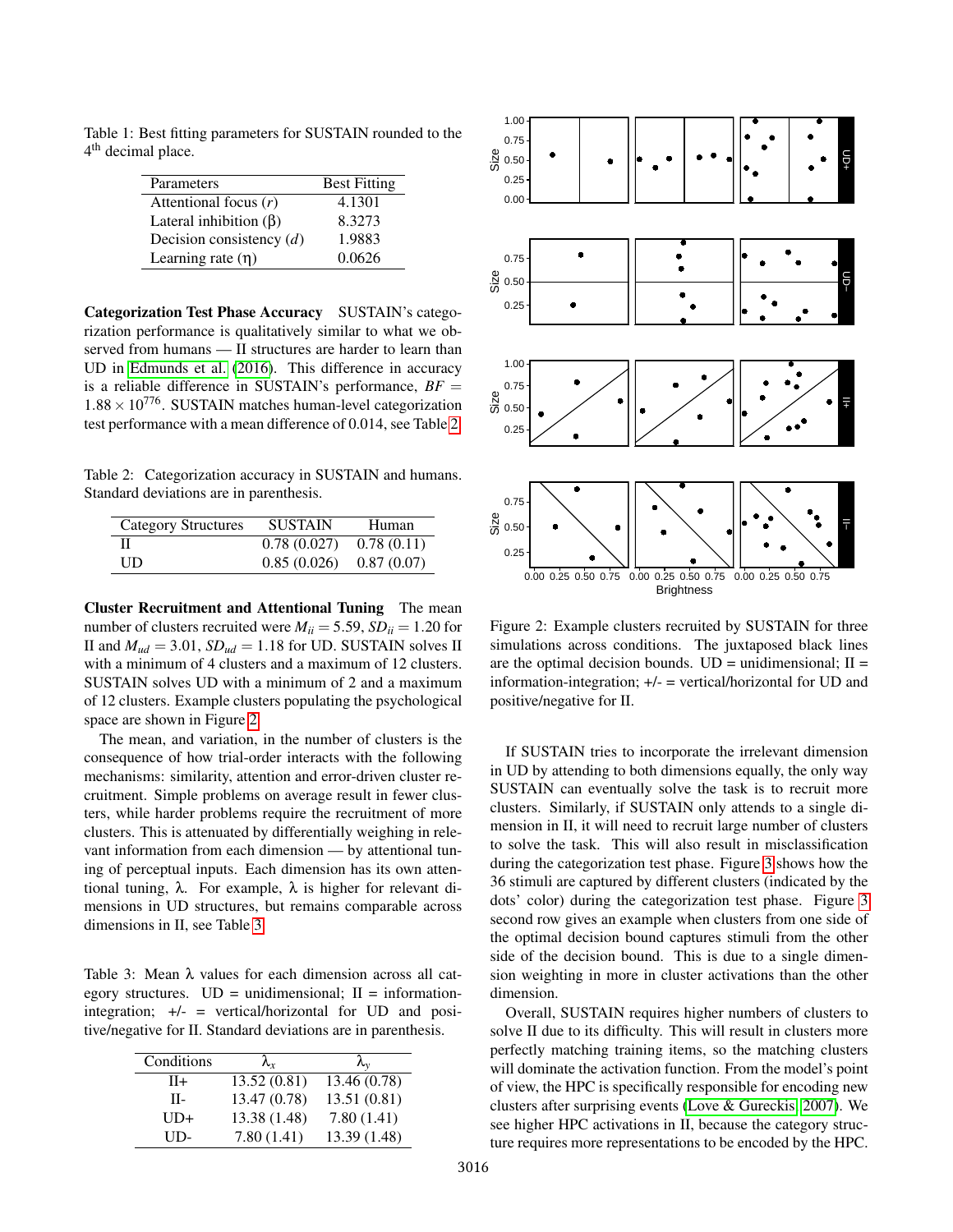<span id="page-4-1"></span>Table 1: Best fitting parameters for SUSTAIN rounded to the 4<sup>th</sup> decimal place.

| Parameters                   | <b>Best Fitting</b> |
|------------------------------|---------------------|
| Attentional focus $(r)$      | 4.1301              |
| Lateral inhibition $(\beta)$ | 8.3273              |
| Decision consistency $(d)$   | 1.9883              |
| Learning rate $(\eta)$       | 0.0626              |

Categorization Test Phase Accuracy SUSTAIN's categorization performance is qualitatively similar to what we observed from humans — II structures are harder to learn than UD in [Edmunds et al.](#page-6-6) [\(2016\)](#page-6-6). This difference in accuracy is a reliable difference in SUSTAIN's performance,  $BF =$  $1.88 \times 10^{776}$ . SUSTAIN matches human-level categorization test performance with a mean difference of 0.014, see Table [2.](#page-4-0)

<span id="page-4-0"></span>Table 2: Categorization accuracy in SUSTAIN and humans. Standard deviations are in parenthesis.

| <b>Category Structures</b> | <b>SUSTAIN</b>             | Human |
|----------------------------|----------------------------|-------|
| П                          | $0.78(0.027)$ $0.78(0.11)$ |       |
| UD                         | $0.85(0.026)$ $0.87(0.07)$ |       |

Cluster Recruitment and Attentional Tuning The mean number of clusters recruited were  $M_{ii} = 5.59$ ,  $SD_{ii} = 1.20$  for II and  $M_{ud} = 3.01$ ,  $SD_{ud} = 1.18$  for UD. SUSTAIN solves II with a minimum of 4 clusters and a maximum of 12 clusters. SUSTAIN solves UD with a minimum of 2 and a maximum of 12 clusters. Example clusters populating the psychological space are shown in Figure [2.](#page-4-2)

The mean, and variation, in the number of clusters is the consequence of how trial-order interacts with the following mechanisms: similarity, attention and error-driven cluster recruitment. Simple problems on average result in fewer clusters, while harder problems require the recruitment of more clusters. This is attenuated by differentially weighing in relevant information from each dimension — by attentional tuning of perceptual inputs. Each dimension has its own attentional tuning, λ. For example, λ is higher for relevant dimensions in UD structures, but remains comparable across dimensions in II, see Table [3.](#page-4-3)

<span id="page-4-3"></span>Table 3: Mean λ values for each dimension across all category structures.  $UD =$  unidimensional;  $II =$  informationintegration;  $+/-$  = vertical/horizontal for UD and positive/negative for II. Standard deviations are in parenthesis.

| Conditions | λy           | $\lambda_{\rm v}$ |
|------------|--------------|-------------------|
| $H+$       | 13.52(0.81)  | 13.46 (0.78)      |
| П-         | 13.47 (0.78) | 13.51(0.81)       |
| UD+        | 13.38 (1.48) | 7.80(1.41)        |
| IID-       | 7.80(1.41)   | 13.39 (1.48)      |



<span id="page-4-2"></span>Figure 2: Example clusters recruited by SUSTAIN for three simulations across conditions. The juxtaposed black lines are the optimal decision bounds.  $UD =$  unidimensional;  $II =$ information-integration; +/- = vertical/horizontal for UD and positive/negative for II.

If SUSTAIN tries to incorporate the irrelevant dimension in UD by attending to both dimensions equally, the only way SUSTAIN can eventually solve the task is to recruit more clusters. Similarly, if SUSTAIN only attends to a single dimension in II, it will need to recruit large number of clusters to solve the task. This will also result in misclassification during the categorization test phase. Figure [3](#page-5-0) shows how the 36 stimuli are captured by different clusters (indicated by the dots' color) during the categorization test phase. Figure [3](#page-5-0) second row gives an example when clusters from one side of the optimal decision bound captures stimuli from the other side of the decision bound. This is due to a single dimension weighting in more in cluster activations than the other dimension.

Overall, SUSTAIN requires higher numbers of clusters to solve II due to its difficulty. This will result in clusters more perfectly matching training items, so the matching clusters will dominate the activation function. From the model's point of view, the HPC is specifically responsible for encoding new clusters after surprising events [\(Love & Gureckis, 2007\)](#page-7-9). We see higher HPC activations in II, because the category structure requires more representations to be encoded by the HPC.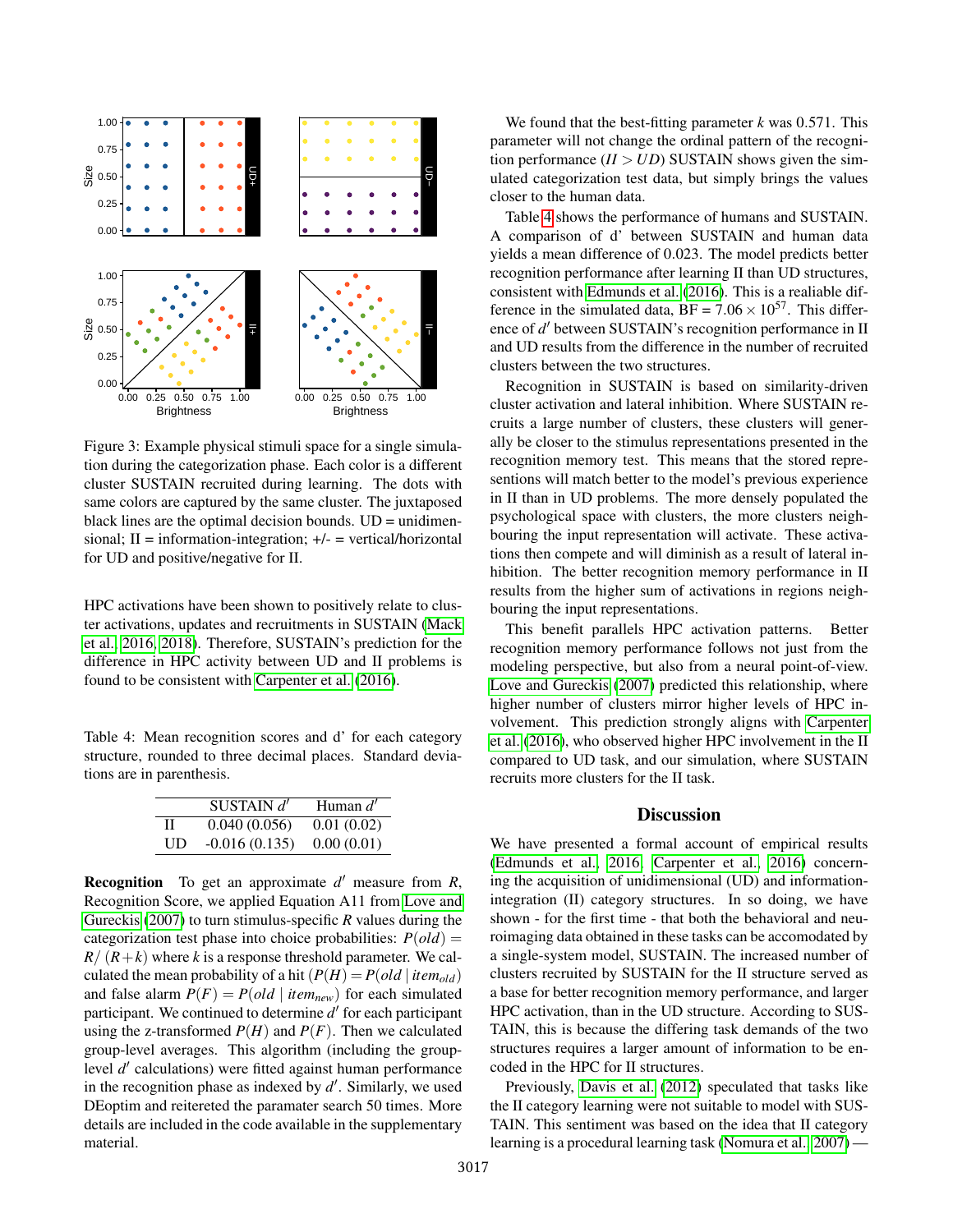

Figure 3: Example physical stimuli space for a single simulation during the categorization phase. Each color is a different cluster SUSTAIN recruited during learning. The dots with same colors are captured by the same cluster. The juxtaposed black lines are the optimal decision bounds. UD = unidimensional;  $II = information-integration$ ;  $+/- = vertical/horizontal$ for UD and positive/negative for II.

HPC activations have been shown to positively relate to cluster activations, updates and recruitments in SUSTAIN [\(Mack](#page-7-11) [et al., 2016,](#page-7-11) [2018\)](#page-7-10). Therefore, SUSTAIN's prediction for the difference in HPC activity between UD and II problems is found to be consistent with [Carpenter et al.](#page-6-1) [\(2016\)](#page-6-1).

<span id="page-5-1"></span>Table 4: Mean recognition scores and d' for each category structure, rounded to three decimal places. Standard deviations are in parenthesis.

|    | SUSTAIN $d'$    | Human $d'$ |
|----|-----------------|------------|
| Н  | 0.040(0.056)    | 0.01(0.02) |
| UD | $-0.016(0.135)$ | 0.00(0.01) |

**Recognition** To get an approximate  $d'$  measure from  $R$ , Recognition Score, we applied Equation A11 from [Love and](#page-7-9) [Gureckis](#page-7-9) [\(2007\)](#page-7-9) to turn stimulus-specific *R* values during the categorization test phase into choice probabilities:  $P(old) =$  $R/(R+k)$  where *k* is a response threshold parameter. We calculated the mean probability of a hit  $(P(H) = P(\text{old} | \text{item}_{\text{old}}))$ and false alarm  $P(F) = P(\text{old} \mid \text{item}_{\text{new}})$  for each simulated participant. We continued to determine  $d'$  for each participant using the z-transformed  $P(H)$  and  $P(F)$ . Then we calculated group-level averages. This algorithm (including the grouplevel *d'* calculations) were fitted against human performance in the recognition phase as indexed by  $d'$ . Similarly, we used DEoptim and reitereted the paramater search 50 times. More details are included in the code available in the supplementary material.

We found that the best-fitting parameter *k* was 0.571. This parameter will not change the ordinal pattern of the recognition performance  $(II > UD)$  SUSTAIN shows given the simulated categorization test data, but simply brings the values closer to the human data.

Table [4](#page-5-1) shows the performance of humans and SUSTAIN. A comparison of d' between SUSTAIN and human data yields a mean difference of 0.023. The model predicts better recognition performance after learning II than UD structures, consistent with [Edmunds et al.](#page-6-6) [\(2016\)](#page-6-6). This is a realiable difference in the simulated data,  $BF = 7.06 \times 10^{57}$ . This difference of *d'* between SUSTAIN's recognition performance in II and UD results from the difference in the number of recruited clusters between the two structures.

<span id="page-5-0"></span>Recognition in SUSTAIN is based on similarity-driven cluster activation and lateral inhibition. Where SUSTAIN recruits a large number of clusters, these clusters will generally be closer to the stimulus representations presented in the recognition memory test. This means that the stored representions will match better to the model's previous experience in II than in UD problems. The more densely populated the psychological space with clusters, the more clusters neighbouring the input representation will activate. These activations then compete and will diminish as a result of lateral inhibition. The better recognition memory performance in II results from the higher sum of activations in regions neighbouring the input representations.

This benefit parallels HPC activation patterns. Better recognition memory performance follows not just from the modeling perspective, but also from a neural point-of-view. [Love and Gureckis](#page-7-9) [\(2007\)](#page-7-9) predicted this relationship, where higher number of clusters mirror higher levels of HPC involvement. This prediction strongly aligns with [Carpenter](#page-6-1) [et al.](#page-6-1) [\(2016\)](#page-6-1), who observed higher HPC involvement in the II compared to UD task, and our simulation, where SUSTAIN recruits more clusters for the II task.

#### **Discussion**

We have presented a formal account of empirical results [\(Edmunds et al., 2016;](#page-6-6) [Carpenter et al., 2016\)](#page-6-1) concerning the acquisition of unidimensional (UD) and informationintegration (II) category structures. In so doing, we have shown - for the first time - that both the behavioral and neuroimaging data obtained in these tasks can be accomodated by a single-system model, SUSTAIN. The increased number of clusters recruited by SUSTAIN for the II structure served as a base for better recognition memory performance, and larger HPC activation, than in the UD structure. According to SUS-TAIN, this is because the differing task demands of the two structures requires a larger amount of information to be encoded in the HPC for II structures.

Previously, [Davis et al.](#page-6-10) [\(2012\)](#page-6-10) speculated that tasks like the II category learning were not suitable to model with SUS-TAIN. This sentiment was based on the idea that II category learning is a procedural learning task [\(Nomura et al., 2007\)](#page-7-1) —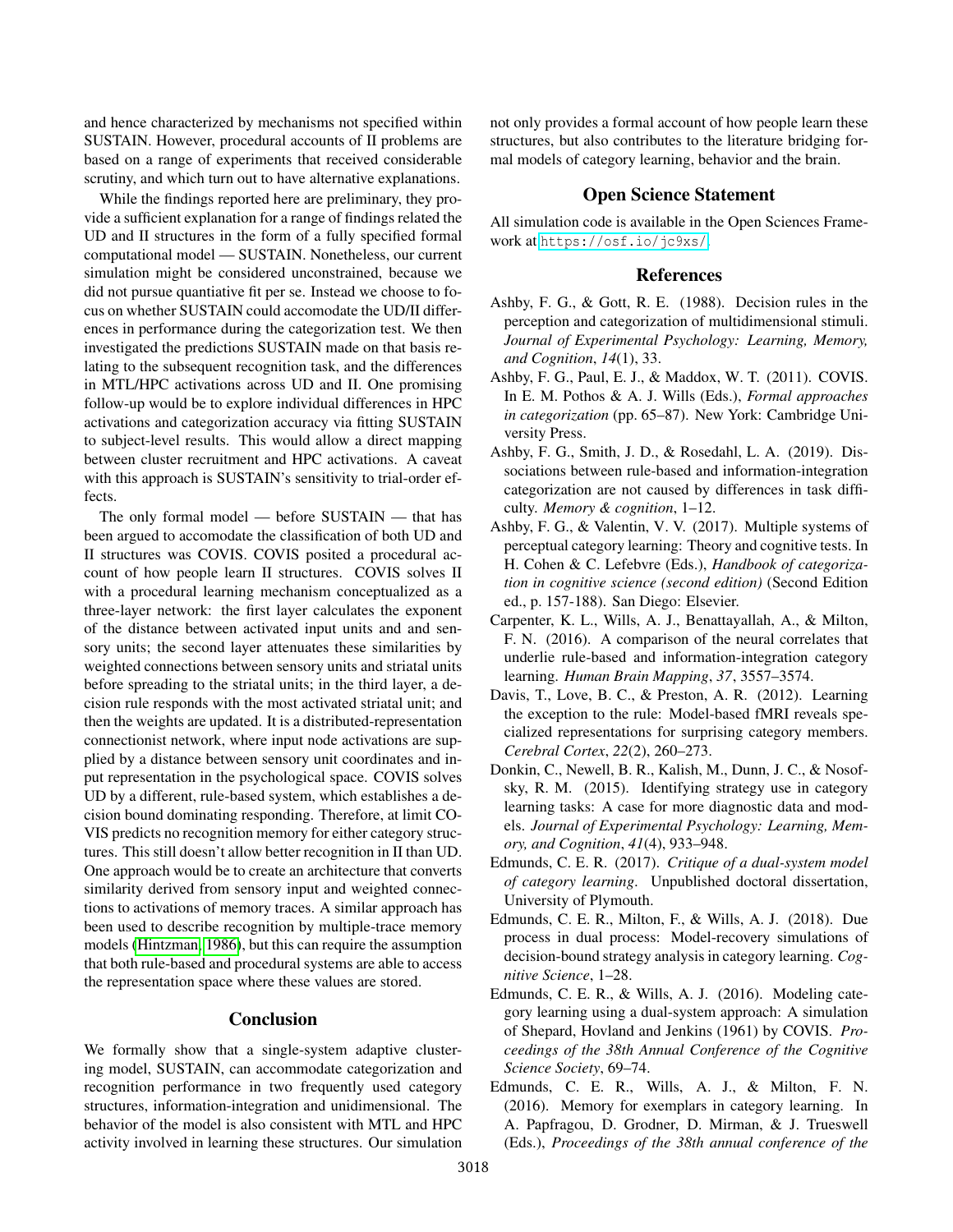and hence characterized by mechanisms not specified within SUSTAIN. However, procedural accounts of II problems are based on a range of experiments that received considerable scrutiny, and which turn out to have alternative explanations.

While the findings reported here are preliminary, they provide a sufficient explanation for a range of findings related the UD and II structures in the form of a fully specified formal computational model — SUSTAIN. Nonetheless, our current simulation might be considered unconstrained, because we did not pursue quantiative fit per se. Instead we choose to focus on whether SUSTAIN could accomodate the UD/II differences in performance during the categorization test. We then investigated the predictions SUSTAIN made on that basis relating to the subsequent recognition task, and the differences in MTL/HPC activations across UD and II. One promising follow-up would be to explore individual differences in HPC activations and categorization accuracy via fitting SUSTAIN to subject-level results. This would allow a direct mapping between cluster recruitment and HPC activations. A caveat with this approach is SUSTAIN's sensitivity to trial-order effects.

The only formal model — before SUSTAIN — that has been argued to accomodate the classification of both UD and II structures was COVIS. COVIS posited a procedural account of how people learn II structures. COVIS solves II with a procedural learning mechanism conceptualized as a three-layer network: the first layer calculates the exponent of the distance between activated input units and and sensory units; the second layer attenuates these similarities by weighted connections between sensory units and striatal units before spreading to the striatal units; in the third layer, a decision rule responds with the most activated striatal unit; and then the weights are updated. It is a distributed-representation connectionist network, where input node activations are supplied by a distance between sensory unit coordinates and input representation in the psychological space. COVIS solves UD by a different, rule-based system, which establishes a decision bound dominating responding. Therefore, at limit CO-VIS predicts no recognition memory for either category structures. This still doesn't allow better recognition in II than UD. One approach would be to create an architecture that converts similarity derived from sensory input and weighted connections to activations of memory traces. A similar approach has been used to describe recognition by multiple-trace memory models [\(Hintzman, 1986\)](#page-7-15), but this can require the assumption that both rule-based and procedural systems are able to access the representation space where these values are stored.

### Conclusion

We formally show that a single-system adaptive clustering model, SUSTAIN, can accommodate categorization and recognition performance in two frequently used category structures, information-integration and unidimensional. The behavior of the model is also consistent with MTL and HPC activity involved in learning these structures. Our simulation not only provides a formal account of how people learn these structures, but also contributes to the literature bridging formal models of category learning, behavior and the brain.

### Open Science Statement

All simulation code is available in the Open Sciences Framework at <https://osf.io/jc9xs/>.

### References

- <span id="page-6-0"></span>Ashby, F. G., & Gott, R. E. (1988). Decision rules in the perception and categorization of multidimensional stimuli. *Journal of Experimental Psychology: Learning, Memory, and Cognition*, *14*(1), 33.
- <span id="page-6-3"></span>Ashby, F. G., Paul, E. J., & Maddox, W. T. (2011). COVIS. In E. M. Pothos & A. J. Wills (Eds.), *Formal approaches in categorization* (pp. 65–87). New York: Cambridge University Press.
- <span id="page-6-5"></span>Ashby, F. G., Smith, J. D., & Rosedahl, L. A. (2019). Dissociations between rule-based and information-integration categorization are not caused by differences in task difficulty. *Memory & cognition*, 1–12.
- <span id="page-6-7"></span>Ashby, F. G., & Valentin, V. V. (2017). Multiple systems of perceptual category learning: Theory and cognitive tests. In H. Cohen & C. Lefebvre (Eds.), *Handbook of categorization in cognitive science (second edition)* (Second Edition ed., p. 157-188). San Diego: Elsevier.
- <span id="page-6-1"></span>Carpenter, K. L., Wills, A. J., Benattayallah, A., & Milton, F. N. (2016). A comparison of the neural correlates that underlie rule-based and information-integration category learning. *Human Brain Mapping*, *37*, 3557–3574.
- <span id="page-6-10"></span>Davis, T., Love, B. C., & Preston, A. R. (2012). Learning the exception to the rule: Model-based fMRI reveals specialized representations for surprising category members. *Cerebral Cortex*, *22*(2), 260–273.
- <span id="page-6-2"></span>Donkin, C., Newell, B. R., Kalish, M., Dunn, J. C., & Nosofsky, R. M. (2015). Identifying strategy use in category learning tasks: A case for more diagnostic data and models. *Journal of Experimental Psychology: Learning, Memory, and Cognition*, *41*(4), 933–948.
- <span id="page-6-9"></span>Edmunds, C. E. R. (2017). *Critique of a dual-system model of category learning*. Unpublished doctoral dissertation, University of Plymouth.
- <span id="page-6-4"></span>Edmunds, C. E. R., Milton, F., & Wills, A. J. (2018). Due process in dual process: Model-recovery simulations of decision-bound strategy analysis in category learning. *Cognitive Science*, 1–28.
- <span id="page-6-8"></span>Edmunds, C. E. R., & Wills, A. J. (2016). Modeling category learning using a dual-system approach: A simulation of Shepard, Hovland and Jenkins (1961) by COVIS. *Proceedings of the 38th Annual Conference of the Cognitive Science Society*, 69–74.
- <span id="page-6-6"></span>Edmunds, C. E. R., Wills, A. J., & Milton, F. N. (2016). Memory for exemplars in category learning. In A. Papfragou, D. Grodner, D. Mirman, & J. Trueswell (Eds.), *Proceedings of the 38th annual conference of the*